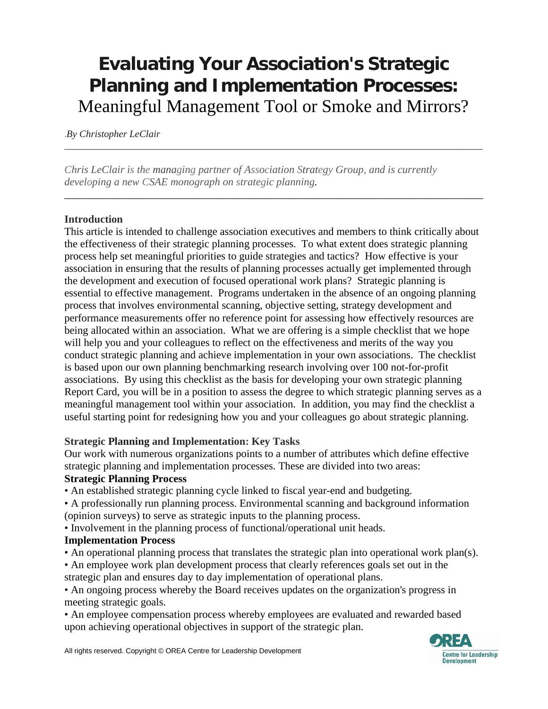# **Evaluating Your Association's Strategic Planning and Implementation Processes:** Meaningful Management Tool or Smoke and Mirrors?

*\_\_\_\_\_\_\_\_\_\_\_\_\_\_\_\_\_\_\_\_\_\_\_\_\_\_\_\_\_\_\_\_\_\_\_\_\_\_\_\_\_\_\_\_\_\_\_\_\_\_\_\_\_\_\_\_\_\_\_\_\_\_\_\_\_\_\_\_\_\_\_\_\_\_\_\_\_\_\_\_\_\_\_\_\_*

*\_\_\_\_\_\_\_\_\_\_\_\_\_\_\_\_\_\_\_\_\_\_\_\_\_\_\_\_\_\_\_\_\_\_\_\_\_\_\_\_\_\_\_\_\_\_\_\_\_\_\_\_\_\_\_\_\_\_\_\_\_\_\_\_\_\_\_\_\_\_\_\_\_\_\_\_\_\_*

.*By Christopher LeClair*

*Chris LeClair is the managing partner of Association Strategy Group, and is currently developing a new CSAE monograph on strategic planning.* 

## **Introduction**

This article is intended to challenge association executives and members to think critically about the effectiveness of their strategic planning processes. To what extent does strategic planning process help set meaningful priorities to guide strategies and tactics? How effective is your association in ensuring that the results of planning processes actually get implemented through the development and execution of focused operational work plans? Strategic planning is essential to effective management. Programs undertaken in the absence of an ongoing planning process that involves environmental scanning, objective setting, strategy development and performance measurements offer no reference point for assessing how effectively resources are being allocated within an association. What we are offering is a simple checklist that we hope will help you and your colleagues to reflect on the effectiveness and merits of the way you conduct strategic planning and achieve implementation in your own associations. The checklist is based upon our own planning benchmarking research involving over 100 not-for-profit associations. By using this checklist as the basis for developing your own strategic planning Report Card, you will be in a position to assess the degree to which strategic planning serves as a meaningful management tool within your association. In addition, you may find the checklist a useful starting point for redesigning how you and your colleagues go about strategic planning.

#### **Strategic Planning and Implementation: Key Tasks**

Our work with numerous organizations points to a number of attributes which define effective strategic planning and implementation processes. These are divided into two areas: **Strategic Planning Process** 

• An established strategic planning cycle linked to fiscal year-end and budgeting.

• A professionally run planning process. Environmental scanning and background information (opinion surveys) to serve as strategic inputs to the planning process.

• Involvement in the planning process of functional/operational unit heads.

## **Implementation Process**

• An operational planning process that translates the strategic plan into operational work plan(s).

• An employee work plan development process that clearly references goals set out in the strategic plan and ensures day to day implementation of operational plans.

• An ongoing process whereby the Board receives updates on the organization's progress in meeting strategic goals.

• An employee compensation process whereby employees are evaluated and rewarded based upon achieving operational objectives in support of the strategic plan.

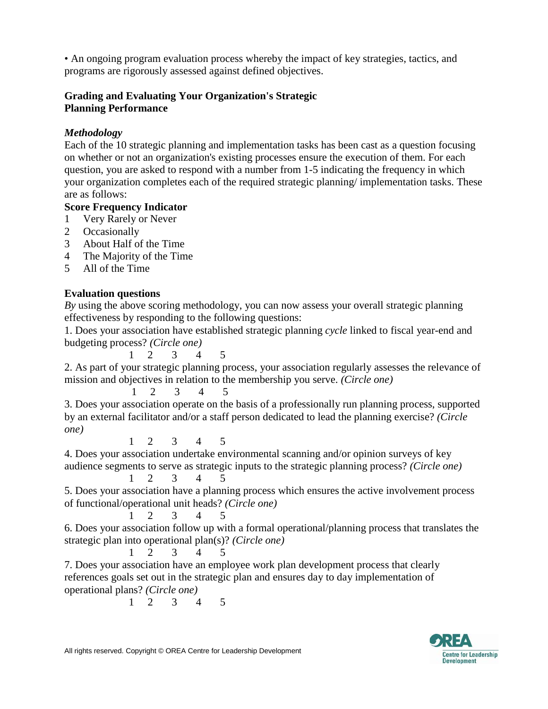• An ongoing program evaluation process whereby the impact of key strategies, tactics, and programs are rigorously assessed against defined objectives.

#### **Grading and Evaluating Your Organization's Strategic Planning Performance**

#### *Methodology*

Each of the 10 strategic planning and implementation tasks has been cast as a question focusing on whether or not an organization's existing processes ensure the execution of them. For each question, you are asked to respond with a number from 1-5 indicating the frequency in which your organization completes each of the required strategic planning/ implementation tasks. These are as follows:

#### **Score Frequency Indicator**

- 1 Very Rarely or Never
- 2 Occasionally
- 3 About Half of the Time
- 4 The Majority of the Time
- 5 All of the Time

## **Evaluation questions**

*By* using the above scoring methodology, you can now assess your overall strategic planning effectiveness by responding to the following questions:

1. Does your association have established strategic planning *cycle* linked to fiscal year-end and budgeting process? *(Circle one)* 

1 2 3 4 5 2. As part of your strategic planning process, your association regularly assesses the relevance of mission and objectives in relation to the membership you serve. *(Circle one)*

1 2 3 4 5 3. Does your association operate on the basis of a professionally run planning process, supported by an external facilitator and/or a staff person dedicated to lead the planning exercise? *(Circle one)* 

1 2 3 4 5

4. Does your association undertake environmental scanning and/or opinion surveys of key audience segments to serve as strategic inputs to the strategic planning process? *(Circle one)* 

1 2 3 4 5 5. Does your association have a planning process which ensures the active involvement process of functional/operational unit heads? *(Circle one)*

$$
\begin{array}{ccccccccc}\n1 & 2 & 3 & 4 & 5\n\end{array}
$$

6. Does your association follow up with a formal operational/planning process that translates the strategic plan into operational plan(s)? *(Circle one)*

1 2 3 4 5

7. Does your association have an employee work plan development process that clearly references goals set out in the strategic plan and ensures day to day implementation of operational plans? *(Circle one)*

1 2 3 4 5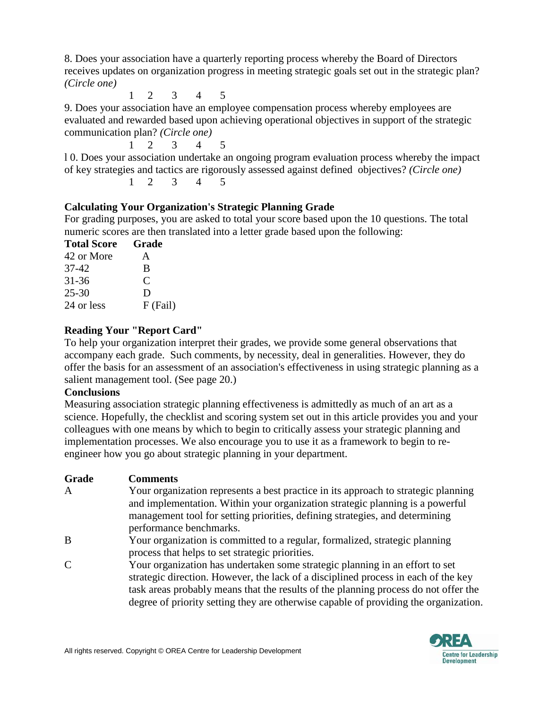8. Does your association have a quarterly reporting process whereby the Board of Directors receives updates on organization progress in meeting strategic goals set out in the strategic plan? *(Circle one)*

1 2 3 4 5

9. Does your association have an employee compensation process whereby employees are evaluated and rewarded based upon achieving operational objectives in support of the strategic communication plan? *(Circle one)*

1 2 3 4 5

l 0. Does your association undertake an ongoing program evaluation process whereby the impact of key strategies and tactics are rigorously assessed against defined objectives? *(Circle one)*

1 2 3 4 5

# **Calculating Your Organization's Strategic Planning Grade**

For grading purposes, you are asked to total your score based upon the 10 questions. The total numeric scores are then translated into a letter grade based upon the following:

| <b>Total Score</b> | Grade    |
|--------------------|----------|
| 42 or More         | A        |
| 37-42              | B        |
| $31 - 36$          | C        |
| $25 - 30$          | D        |
| 24 or less         | F (Fail) |

# **Reading Your "Report Card"**

To help your organization interpret their grades, we provide some general observations that accompany each grade. Such comments, by necessity, deal in generalities. However, they do offer the basis for an assessment of an association's effectiveness in using strategic planning as a salient management tool. (See page 20.)

# **Conclusions**

Measuring association strategic planning effectiveness is admittedly as much of an art as a science. Hopefully, the checklist and scoring system set out in this article provides you and your colleagues with one means by which to begin to critically assess your strategic planning and implementation processes. We also encourage you to use it as a framework to begin to reengineer how you go about strategic planning in your department.

- A Your organization represents a best practice in its approach to strategic planning and implementation. Within your organization strategic planning is a powerful management tool for setting priorities, defining strategies, and determining performance benchmarks.
- B Your organization is committed to a regular, formalized, strategic planning process that helps to set strategic priorities.
- C Your organization has undertaken some strategic planning in an effort to set strategic direction. However, the lack of a disciplined process in each of the key task areas probably means that the results of the planning process do not offer the degree of priority setting they are otherwise capable of providing the organization.